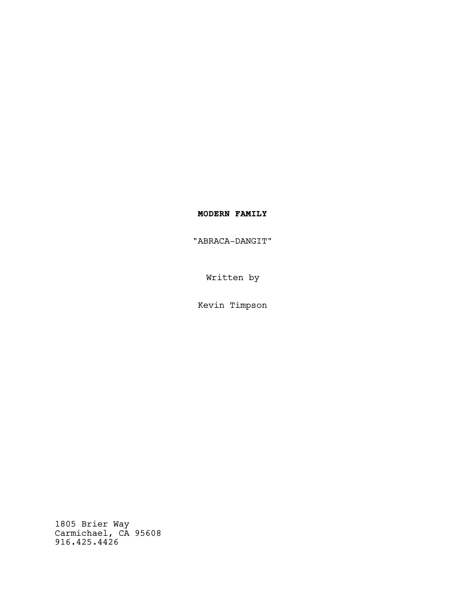# **MODERN FAMILY**

"ABRACA-DANGIT"

Written by

Kevin Timpson

1805 Brier Way Carmichael, CA 95608 916.425.4426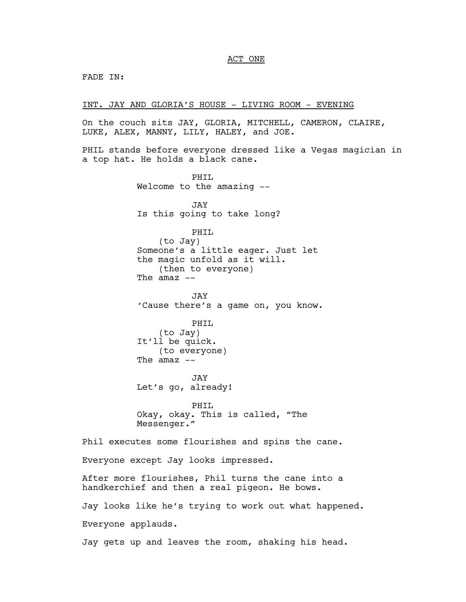# ACT ONE

FADE IN:

INT. JAY AND GLORIA'S HOUSE - LIVING ROOM - EVENING

On the couch sits JAY, GLORIA, MITCHELL, CAMERON, CLAIRE, LUKE, ALEX, MANNY, LILY, HALEY, and JOE.

PHIL stands before everyone dressed like a Vegas magician in a top hat. He holds a black cane.

PHTT. Welcome to the amazing -- JAY Is this going to take long? PHIL (to Jay) Someone's a little eager. Just let the magic unfold as it will. (then to everyone) The  $amaz$   $--$ JAY 'Cause there's a game on, you know. PHIL (to Jay) It'll be quick. (to everyone) The  $amaz$  --JAY Let's go, already! PHIL Okay, okay. This is called, "The Messenger." Phil executes some flourishes and spins the cane. Everyone except Jay looks impressed. After more flourishes, Phil turns the cane into a handkerchief and then a real pigeon. He bows. Jay looks like he's trying to work out what happened. Everyone applauds. Jay gets up and leaves the room, shaking his head.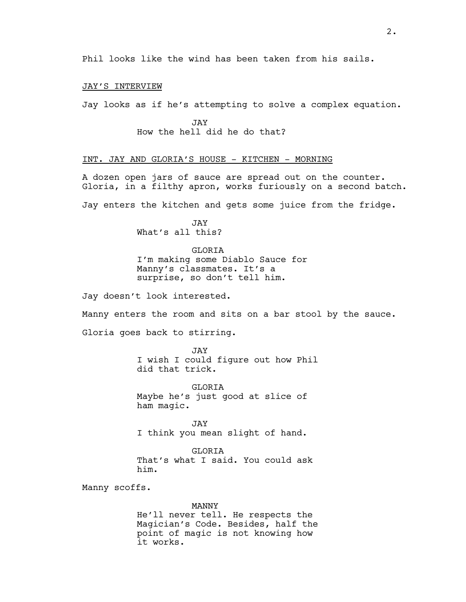JAY'S INTERVIEW

Jay looks as if he's attempting to solve a complex equation.

JAY How the hell did he do that?

## INT. JAY AND GLORIA'S HOUSE - KITCHEN - MORNING

A dozen open jars of sauce are spread out on the counter. Gloria, in a filthy apron, works furiously on a second batch.

Jay enters the kitchen and gets some juice from the fridge.

JAY What's all this?

GLORIA I'm making some Diablo Sauce for Manny's classmates. It's a surprise, so don't tell him.

Jay doesn't look interested.

Manny enters the room and sits on a bar stool by the sauce. Gloria goes back to stirring.

> JAY I wish I could figure out how Phil did that trick.

GLORIA Maybe he's just good at slice of ham magic.

JAY I think you mean slight of hand.

GLORIA That's what I said. You could ask him.

Manny scoffs.

#### MANNY

He'll never tell. He respects the Magician's Code. Besides, half the point of magic is not knowing how it works.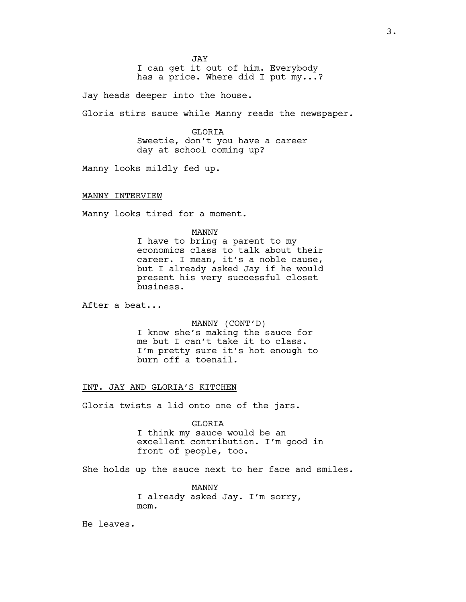JAY I can get it out of him. Everybody has a price. Where did I put my...?

Jay heads deeper into the house.

Gloria stirs sauce while Manny reads the newspaper.

GLORIA Sweetie, don't you have a career day at school coming up?

Manny looks mildly fed up.

MANNY INTERVIEW

Manny looks tired for a moment.

#### MANNY

I have to bring a parent to my economics class to talk about their career. I mean, it's a noble cause, but I already asked Jay if he would present his very successful closet business.

After a beat...

MANNY (CONT'D) I know she's making the sauce for me but I can't take it to class. I'm pretty sure it's hot enough to burn off a toenail.

## INT. JAY AND GLORIA'S KITCHEN

Gloria twists a lid onto one of the jars.

GLORIA

I think my sauce would be an excellent contribution. I'm good in front of people, too.

She holds up the sauce next to her face and smiles.

MANNY I already asked Jay. I'm sorry, mom.

He leaves.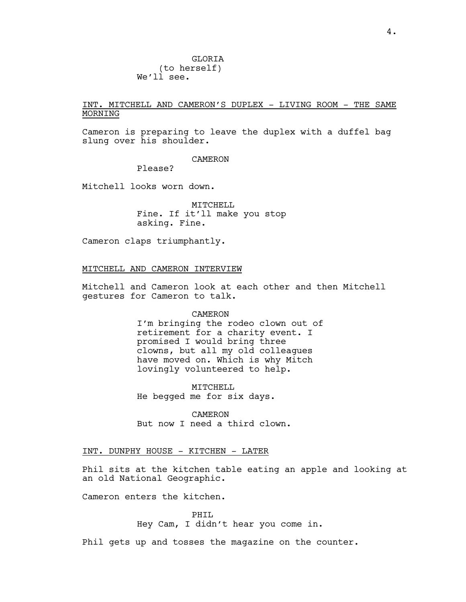**GLORTA**  (to herself) We'll see.

# INT. MITCHELL AND CAMERON'S DUPLEX - LIVING ROOM - THE SAME MORNING

Cameron is preparing to leave the duplex with a duffel bag slung over his shoulder.

#### CAMERON

Please?

Mitchell looks worn down.

MITCHELL Fine. If it'll make you stop asking. Fine.

Cameron claps triumphantly.

# MITCHELL AND CAMERON INTERVIEW

Mitchell and Cameron look at each other and then Mitchell gestures for Cameron to talk.

#### CAMERON

I'm bringing the rodeo clown out of retirement for a charity event. I promised I would bring three clowns, but all my old colleagues have moved on. Which is why Mitch lovingly volunteered to help.

MITCHELL He begged me for six days.

CAMERON But now I need a third clown.

# INT. DUNPHY HOUSE - KITCHEN - LATER

Phil sits at the kitchen table eating an apple and looking at an old National Geographic.

Cameron enters the kitchen.

PHIL Hey Cam, I didn't hear you come in.

Phil gets up and tosses the magazine on the counter.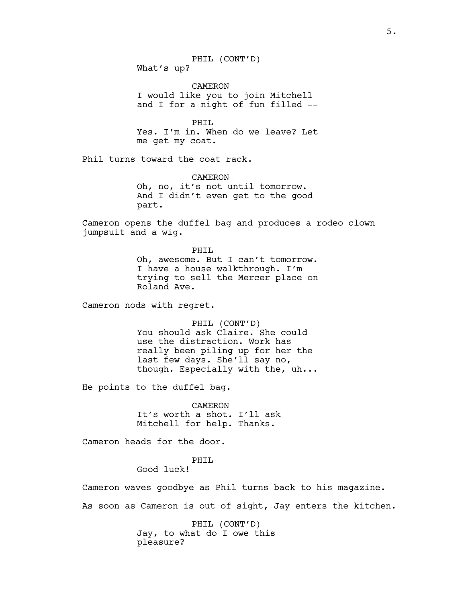PHIL (CONT'D) What's up?

CAMERON I would like you to join Mitchell and I for a night of fun filled --

PHIL Yes. I'm in. When do we leave? Let me get my coat.

Phil turns toward the coat rack.

CAMERON Oh, no, it's not until tomorrow. And I didn't even get to the good part.

Cameron opens the duffel bag and produces a rodeo clown jumpsuit and a wig.

> PHIL Oh, awesome. But I can't tomorrow. I have a house walkthrough. I'm trying to sell the Mercer place on Roland Ave.

Cameron nods with regret.

PHIL (CONT'D) You should ask Claire. She could use the distraction. Work has really been piling up for her the last few days. She'll say no, though. Especially with the, uh...

He points to the duffel bag.

CAMERON It's worth a shot. I'll ask Mitchell for help. Thanks.

Cameron heads for the door.

# PHTT.

Good luck!

Cameron waves goodbye as Phil turns back to his magazine.

As soon as Cameron is out of sight, Jay enters the kitchen.

PHIL (CONT'D) Jay, to what do I owe this pleasure?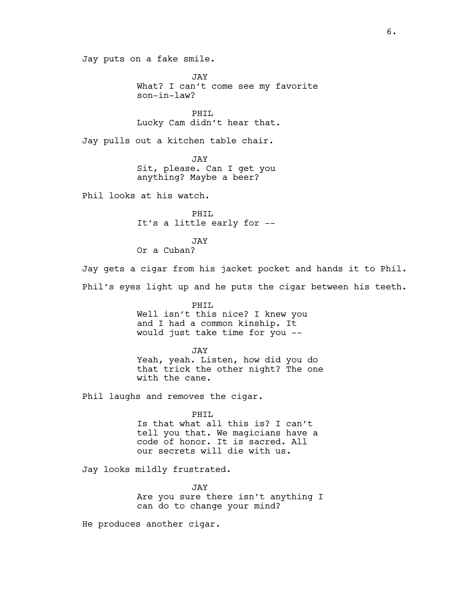Jay puts on a fake smile.

JAY What? I can't come see my favorite son-in-law?

PHIL Lucky Cam didn't hear that.

Jay pulls out a kitchen table chair.

JAY Sit, please. Can I get you anything? Maybe a beer?

Phil looks at his watch.

PHIL It's a little early for --

JAY

Or a Cuban?

Jay gets a cigar from his jacket pocket and hands it to Phil. Phil's eyes light up and he puts the cigar between his teeth.

> PHIL Well isn't this nice? I knew you and I had a common kinship. It would just take time for you --

> > JAY

Yeah, yeah. Listen, how did you do that trick the other night? The one with the cane.

Phil laughs and removes the cigar.

# PHIL

Is that what all this is? I can't tell you that. We magicians have a code of honor. It is sacred. All our secrets will die with us.

Jay looks mildly frustrated.

JAY Are you sure there isn't anything I can do to change your mind?

He produces another cigar.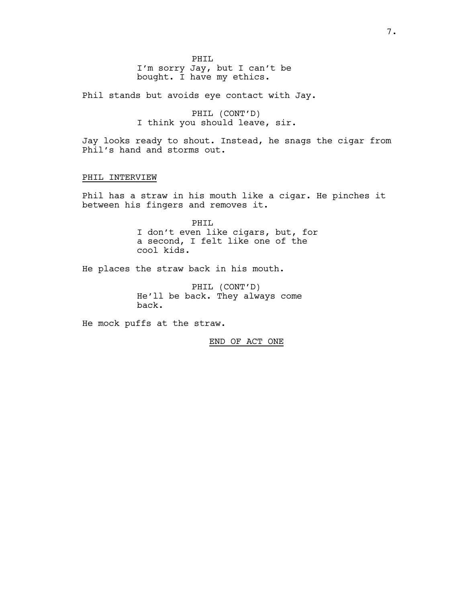PHIL I'm sorry Jay, but I can't be bought. I have my ethics.

Phil stands but avoids eye contact with Jay.

PHIL (CONT'D) I think you should leave, sir.

Jay looks ready to shout. Instead, he snags the cigar from Phil's hand and storms out.

# PHIL INTERVIEW

Phil has a straw in his mouth like a cigar. He pinches it between his fingers and removes it.

> PHIL I don't even like cigars, but, for a second, I felt like one of the cool kids.

He places the straw back in his mouth.

PHIL (CONT'D) He'll be back. They always come back.

He mock puffs at the straw.

END OF ACT ONE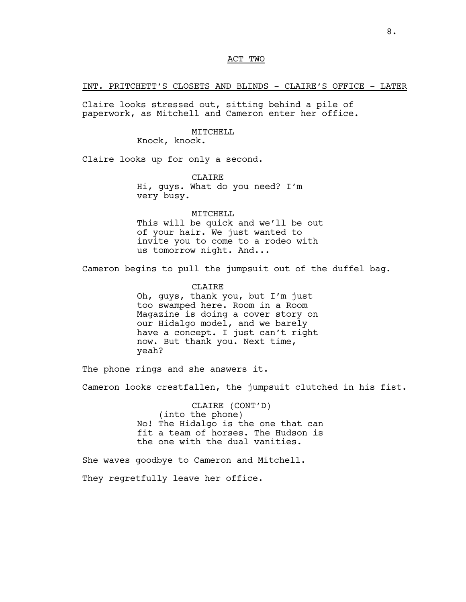# ACT TWO

INT. PRITCHETT'S CLOSETS AND BLINDS - CLAIRE'S OFFICE - LATER

Claire looks stressed out, sitting behind a pile of paperwork, as Mitchell and Cameron enter her office.

## MITCHELL

Knock, knock.

Claire looks up for only a second.

**CLAIRE** Hi, guys. What do you need? I'm very busy.

MITCHELL This will be quick and we'll be out of your hair. We just wanted to invite you to come to a rodeo with us tomorrow night. And...

Cameron begins to pull the jumpsuit out of the duffel bag.

CLAIRE

Oh, guys, thank you, but I'm just too swamped here. Room in a Room Magazine is doing a cover story on our Hidalgo model, and we barely have a concept. I just can't right now. But thank you. Next time, yeah?

The phone rings and she answers it.

Cameron looks crestfallen, the jumpsuit clutched in his fist.

CLAIRE (CONT'D) (into the phone) No! The Hidalgo is the one that can fit a team of horses. The Hudson is the one with the dual vanities.

She waves goodbye to Cameron and Mitchell.

They regretfully leave her office.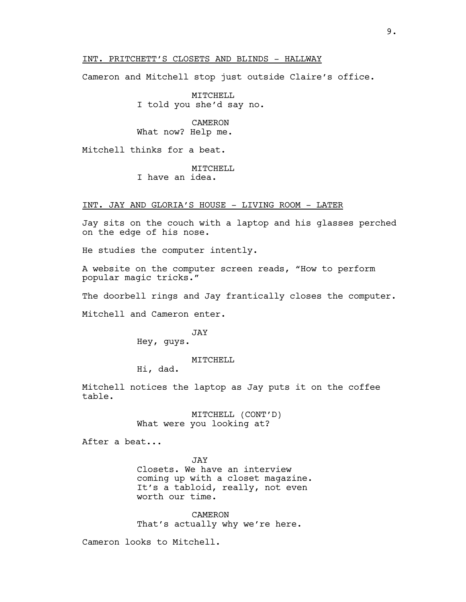# INT. PRITCHETT'S CLOSETS AND BLINDS - HALLWAY

Cameron and Mitchell stop just outside Claire's office.

MITCHELL I told you she'd say no.

CAMERON What now? Help me.

Mitchell thinks for a beat.

MITCHELL I have an idea.

# INT. JAY AND GLORIA'S HOUSE - LIVING ROOM - LATER

Jay sits on the couch with a laptop and his glasses perched on the edge of his nose.

He studies the computer intently.

A website on the computer screen reads, "How to perform popular magic tricks."

The doorbell rings and Jay frantically closes the computer.

Mitchell and Cameron enter.

JAY Hey, guys.

MITCHELL

Hi, dad.

Mitchell notices the laptop as Jay puts it on the coffee table.

> MITCHELL (CONT'D) What were you looking at?

After a beat...

JAY Closets. We have an interview coming up with a closet magazine. It's a tabloid, really, not even worth our time.

CAMERON That's actually why we're here.

Cameron looks to Mitchell.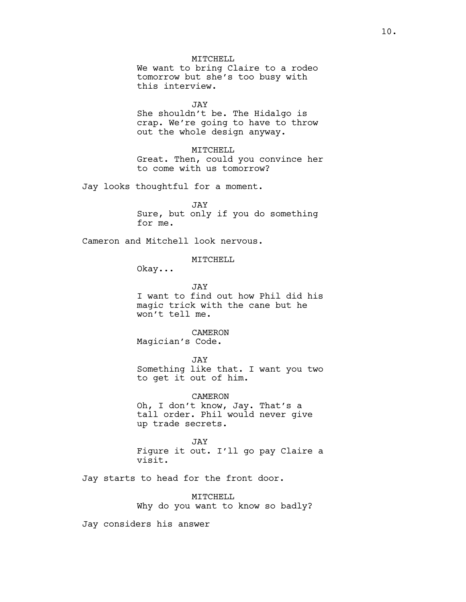MITCHELL

We want to bring Claire to a rodeo tomorrow but she's too busy with this interview.

JAY

She shouldn't be. The Hidalgo is crap. We're going to have to throw out the whole design anyway.

MITCHELL

Great. Then, could you convince her to come with us tomorrow?

Jay looks thoughtful for a moment.

JAY Sure, but only if you do something for me.

Cameron and Mitchell look nervous.

MITCHELL

Okay...

JAY I want to find out how Phil did his magic trick with the cane but he won't tell me.

CAMERON Magician's Code.

JAY Something like that. I want you two to get it out of him.

CAMERON Oh, I don't know, Jay. That's a tall order. Phil would never give up trade secrets.

JAY Figure it out. I'll go pay Claire a visit.

Jay starts to head for the front door.

MITCHELL Why do you want to know so badly?

Jay considers his answer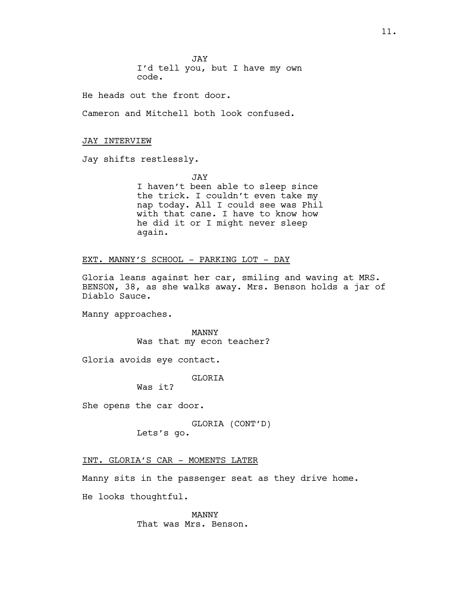JAY I'd tell you, but I have my own code.

He heads out the front door.

Cameron and Mitchell both look confused.

#### JAY INTERVIEW

Jay shifts restlessly.

JAY I haven't been able to sleep since the trick. I couldn't even take my nap today. All I could see was Phil with that cane. I have to know how he did it or I might never sleep again.

EXT. MANNY'S SCHOOL - PARKING LOT - DAY

Gloria leans against her car, smiling and waving at MRS. BENSON, 38, as she walks away. Mrs. Benson holds a jar of Diablo Sauce.

Manny approaches.

MANNY Was that my econ teacher?

Gloria avoids eye contact.

**GLORTA** 

Was it?

She opens the car door.

GLORIA (CONT'D) Lets's go.

## INT. GLORIA'S CAR - MOMENTS LATER

Manny sits in the passenger seat as they drive home.

He looks thoughtful.

MANNY That was Mrs. Benson.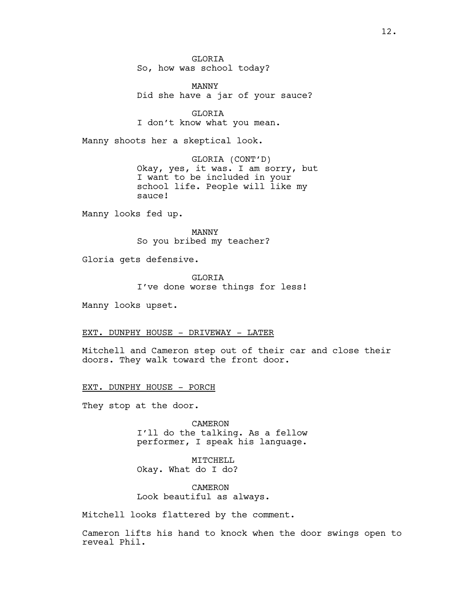**GLORTA** So, how was school today?

MANNY Did she have a jar of your sauce?

GLORIA I don't know what you mean.

Manny shoots her a skeptical look.

GLORIA (CONT'D) Okay, yes, it was. I am sorry, but I want to be included in your school life. People will like my sauce!

Manny looks fed up.

MANNY So you bribed my teacher?

Gloria gets defensive.

**GLORTA** I've done worse things for less!

Manny looks upset.

EXT. DUNPHY HOUSE - DRIVEWAY - LATER

Mitchell and Cameron step out of their car and close their doors. They walk toward the front door.

EXT. DUNPHY HOUSE - PORCH

They stop at the door.

CAMERON I'll do the talking. As a fellow performer, I speak his language.

MITCHELL Okay. What do I do?

CAMERON Look beautiful as always.

Mitchell looks flattered by the comment.

Cameron lifts his hand to knock when the door swings open to reveal Phil.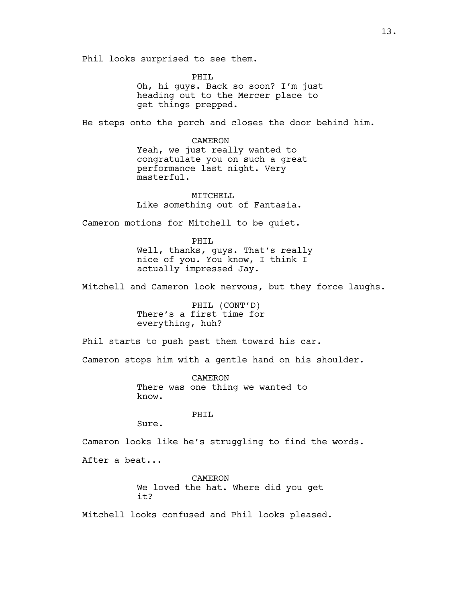Phil looks surprised to see them.

PHIL Oh, hi guys. Back so soon? I'm just heading out to the Mercer place to get things prepped.

He steps onto the porch and closes the door behind him.

CAMERON Yeah, we just really wanted to congratulate you on such a great performance last night. Very masterful.

MITCHELL Like something out of Fantasia.

Cameron motions for Mitchell to be quiet.

PHIL Well, thanks, guys. That's really nice of you. You know, I think I actually impressed Jay.

Mitchell and Cameron look nervous, but they force laughs.

PHIL (CONT'D) There's a first time for everything, huh?

Phil starts to push past them toward his car.

Cameron stops him with a gentle hand on his shoulder.

CAMERON There was one thing we wanted to know.

PHIL

Sure.

Cameron looks like he's struggling to find the words.

After a beat...

CAMERON We loved the hat. Where did you get it?

Mitchell looks confused and Phil looks pleased.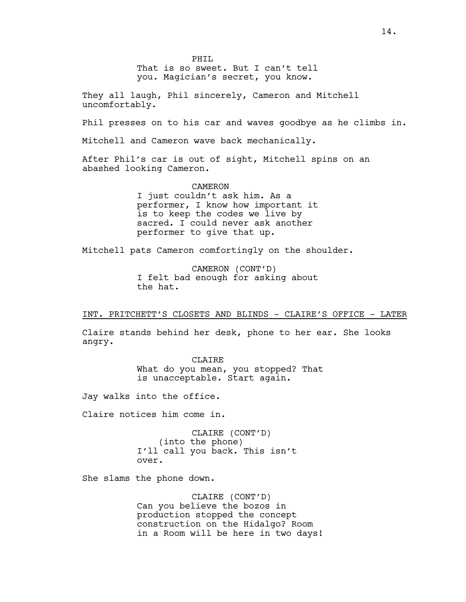PHTT.

That is so sweet. But I can't tell you. Magician's secret, you know.

They all laugh, Phil sincerely, Cameron and Mitchell uncomfortably.

Phil presses on to his car and waves goodbye as he climbs in.

Mitchell and Cameron wave back mechanically.

After Phil's car is out of sight, Mitchell spins on an abashed looking Cameron.

#### CAMERON

I just couldn't ask him. As a performer, I know how important it is to keep the codes we live by sacred. I could never ask another performer to give that up.

Mitchell pats Cameron comfortingly on the shoulder.

CAMERON (CONT'D) I felt bad enough for asking about the hat.

INT. PRITCHETT'S CLOSETS AND BLINDS - CLAIRE'S OFFICE - LATER

Claire stands behind her desk, phone to her ear. She looks angry.

> **CLAIRE** What do you mean, you stopped? That is unacceptable. Start again.

Jay walks into the office.

Claire notices him come in.

CLAIRE (CONT'D) (into the phone) I'll call you back. This isn't over.

She slams the phone down.

CLAIRE (CONT'D) Can you believe the bozos in production stopped the concept construction on the Hidalgo? Room in a Room will be here in two days!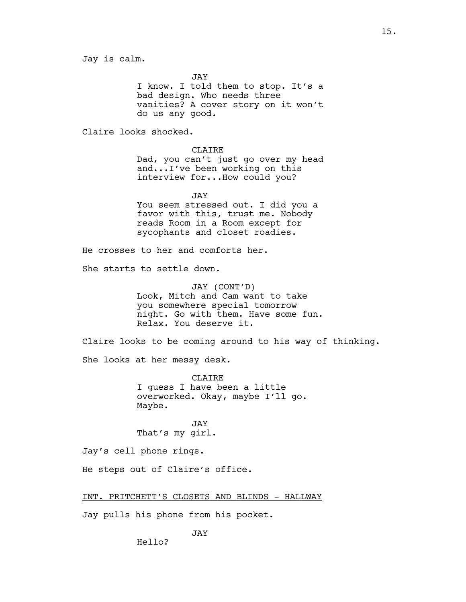**JAY** 

I know. I told them to stop. It's a bad design. Who needs three vanities? A cover story on it won't do us any good.

Claire looks shocked.

CLAIRE Dad, you can't just go over my head and...I've been working on this interview for...How could you?

JAY You seem stressed out. I did you a favor with this, trust me. Nobody reads Room in a Room except for sycophants and closet roadies.

He crosses to her and comforts her.

She starts to settle down.

JAY (CONT'D) Look, Mitch and Cam want to take you somewhere special tomorrow night. Go with them. Have some fun. Relax. You deserve it.

Claire looks to be coming around to his way of thinking.

She looks at her messy desk.

CLAIRE I guess I have been a little overworked. Okay, maybe I'll go. Maybe.

JAY That's my girl.

Jay's cell phone rings.

He steps out of Claire's office.

INT. PRITCHETT'S CLOSETS AND BLINDS - HALLWAY

Jay pulls his phone from his pocket.

JAY

Hello?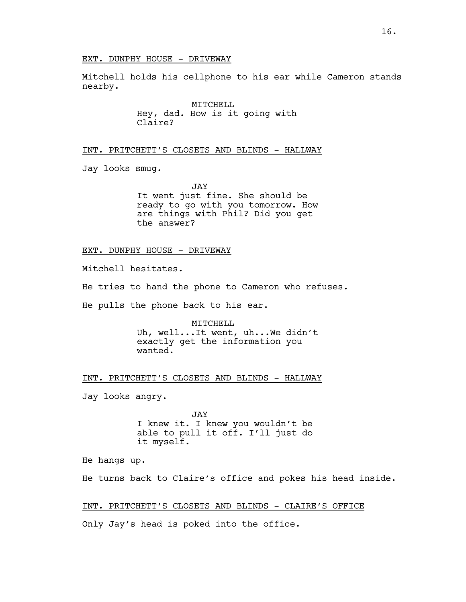# EXT. DUNPHY HOUSE - DRIVEWAY

Mitchell holds his cellphone to his ear while Cameron stands nearby.

> MITCHELL Hey, dad. How is it going with Claire?

# INT. PRITCHETT'S CLOSETS AND BLINDS - HALLWAY

Jay looks smug.

JAY It went just fine. She should be ready to go with you tomorrow. How are things with Phil? Did you get the answer?

## EXT. DUNPHY HOUSE - DRIVEWAY

Mitchell hesitates.

He tries to hand the phone to Cameron who refuses.

He pulls the phone back to his ear.

MITCHELL Uh, well...It went, uh...We didn't exactly get the information you wanted.

INT. PRITCHETT'S CLOSETS AND BLINDS - HALLWAY

Jay looks angry.

JAY I knew it. I knew you wouldn't be able to pull it off. I'll just do it myself.

He hangs up.

He turns back to Claire's office and pokes his head inside.

INT. PRITCHETT'S CLOSETS AND BLINDS - CLAIRE'S OFFICE

Only Jay's head is poked into the office.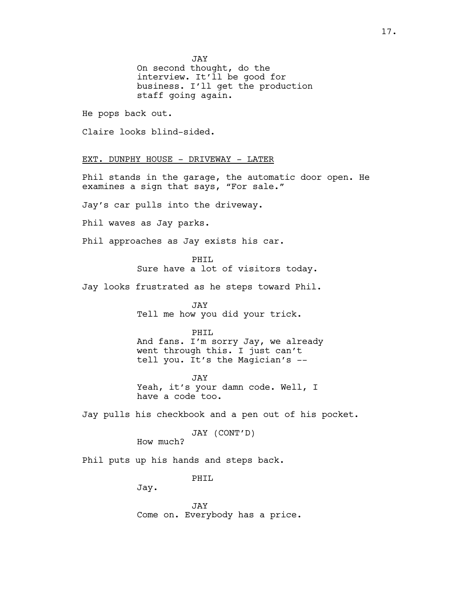JAY

On second thought, do the interview. It'll be good for business. I'll get the production staff going again.

He pops back out.

Claire looks blind-sided.

EXT. DUNPHY HOUSE - DRIVEWAY - LATER

Phil stands in the garage, the automatic door open. He examines a sign that says, "For sale."

Jay's car pulls into the driveway.

Phil waves as Jay parks.

Phil approaches as Jay exists his car.

PHTT. Sure have a lot of visitors today.

Jay looks frustrated as he steps toward Phil.

JAY Tell me how you did your trick.

PHIL

And fans. I'm sorry Jay, we already went through this. I just can't tell you. It's the Magician's --

JAY Yeah, it's your damn code. Well, I have a code too.

Jay pulls his checkbook and a pen out of his pocket.

```
JAY (CONT'D)
```
How much?

Phil puts up his hands and steps back.

PHTT.

Jay.

JAY Come on. Everybody has a price.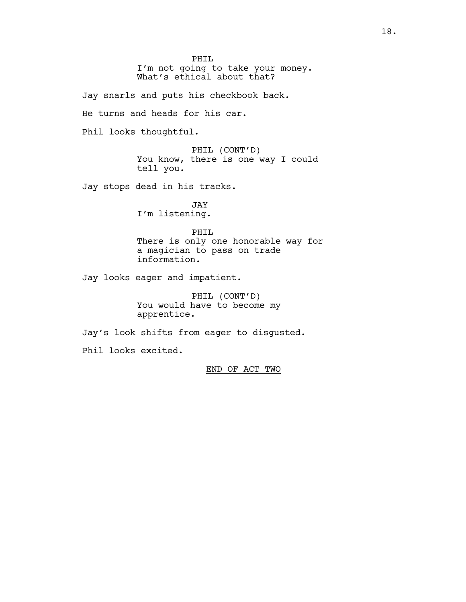PHIL I'm not going to take your money. What's ethical about that?

Jay snarls and puts his checkbook back.

He turns and heads for his car.

Phil looks thoughtful.

PHIL (CONT'D) You know, there is one way I could tell you.

Jay stops dead in his tracks.

JAY I'm listening.

PHIL There is only one honorable way for a magician to pass on trade information.

Jay looks eager and impatient.

PHIL (CONT'D) You would have to become my apprentice.

Jay's look shifts from eager to disgusted.

Phil looks excited.

END OF ACT TWO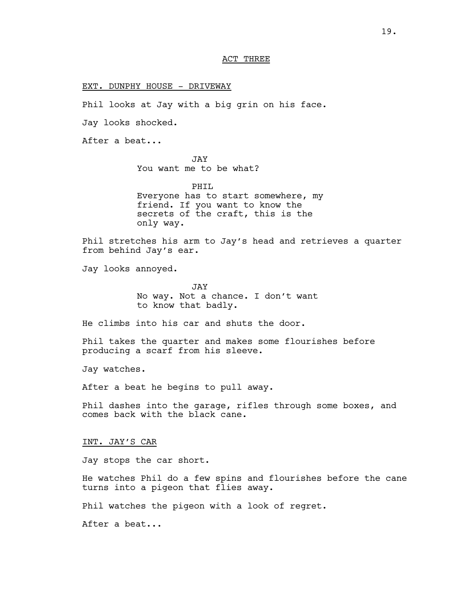# ACT THREE

#### EXT. DUNPHY HOUSE - DRIVEWAY

Phil looks at Jay with a big grin on his face.

Jay looks shocked.

After a beat...

JAY You want me to be what?

PHIL Everyone has to start somewhere, my friend. If you want to know the secrets of the craft, this is the only way.

Phil stretches his arm to Jay's head and retrieves a quarter from behind Jay's ear.

Jay looks annoyed.

JAY No way. Not a chance. I don't want to know that badly.

He climbs into his car and shuts the door.

Phil takes the quarter and makes some flourishes before producing a scarf from his sleeve.

Jay watches.

After a beat he begins to pull away.

Phil dashes into the garage, rifles through some boxes, and comes back with the black cane.

INT. JAY'S CAR

Jay stops the car short.

He watches Phil do a few spins and flourishes before the cane turns into a pigeon that flies away.

Phil watches the pigeon with a look of regret.

After a beat...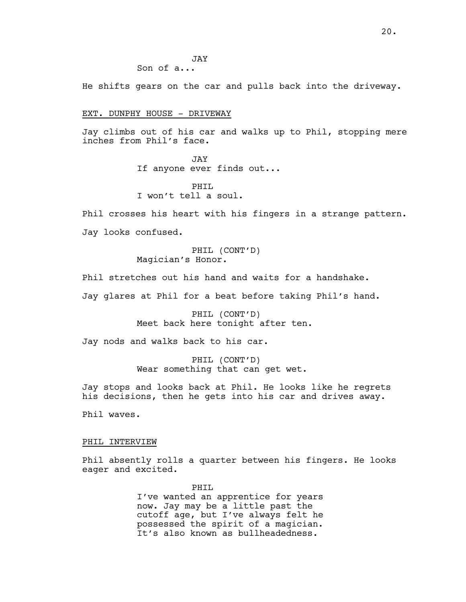JAY Son of a...

He shifts gears on the car and pulls back into the driveway.

## EXT. DUNPHY HOUSE - DRIVEWAY

Jay climbs out of his car and walks up to Phil, stopping mere inches from Phil's face.

> JAY If anyone ever finds out...

PHTT. I won't tell a soul.

Phil crosses his heart with his fingers in a strange pattern. Jay looks confused.

> PHIL (CONT'D) Magician's Honor.

Phil stretches out his hand and waits for a handshake.

Jay glares at Phil for a beat before taking Phil's hand.

PHIL (CONT'D) Meet back here tonight after ten.

Jay nods and walks back to his car.

PHIL (CONT'D) Wear something that can get wet.

Jay stops and looks back at Phil. He looks like he regrets his decisions, then he gets into his car and drives away.

Phil waves.

#### PHIL INTERVIEW

Phil absently rolls a quarter between his fingers. He looks eager and excited.

> PHIL I've wanted an apprentice for years now. Jay may be a little past the cutoff age, but I've always felt he possessed the spirit of a magician. It's also known as bullheadedness.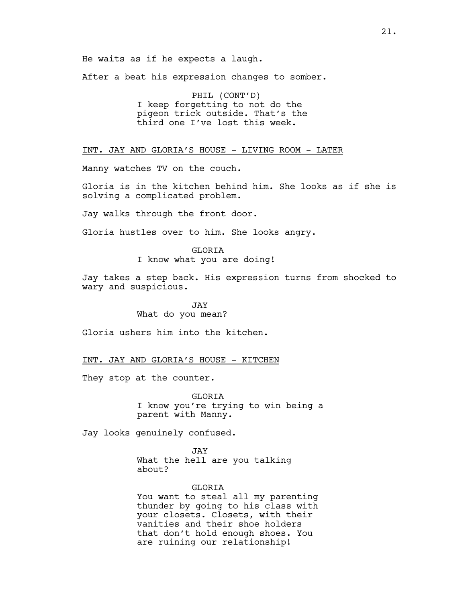He waits as if he expects a laugh.

After a beat his expression changes to somber.

PHIL (CONT'D) I keep forgetting to not do the pigeon trick outside. That's the third one I've lost this week.

INT. JAY AND GLORIA'S HOUSE - LIVING ROOM - LATER

Manny watches TV on the couch.

Gloria is in the kitchen behind him. She looks as if she is solving a complicated problem.

Jay walks through the front door.

Gloria hustles over to him. She looks angry.

GLORIA I know what you are doing!

Jay takes a step back. His expression turns from shocked to wary and suspicious.

> JAY What do you mean?

Gloria ushers him into the kitchen.

INT. JAY AND GLORIA'S HOUSE - KITCHEN

They stop at the counter.

GLORIA I know you're trying to win being a parent with Manny.

Jay looks genuinely confused.

JAY What the hell are you talking about?

#### GLORIA

You want to steal all my parenting thunder by going to his class with your closets. Closets, with their vanities and their shoe holders that don't hold enough shoes. You are ruining our relationship!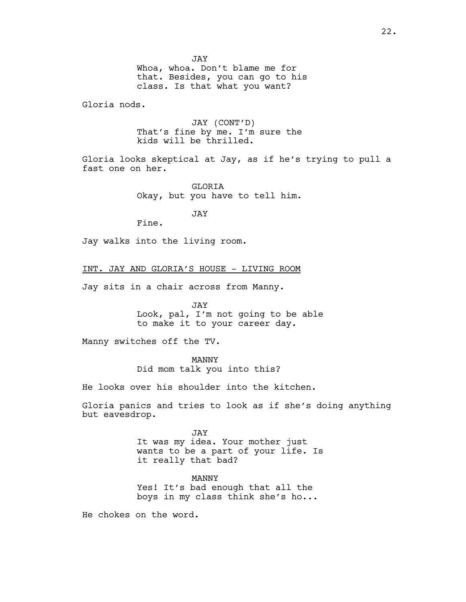JAY

Whoa, whoa. Don't blame me for that. Besides, you can go to his class. Is that what you want?

Gloria nods.

JAY (CONT'D) That's fine by me. I'm sure the kids will be thrilled.

Gloria looks skeptical at Jay, as if he's trying to pull a fast one on her.

> GLORIA Okay, but you have to tell him.

> > JAY

Fine.

Jay walks into the living room.

INT. JAY AND GLORIA'S HOUSE - LIVING ROOM

Jay sits in a chair across from Manny.

JAY Look, pal, I'm not going to be able to make it to your career day.

Manny switches off the TV.

MANNY Did mom talk you into this?

He looks over his shoulder into the kitchen.

Gloria panics and tries to look as if she's doing anything but eavesdrop.

> JAY It was my idea. Your mother just wants to be a part of your life. Is it really that bad?

MANNY Yes! It's bad enough that all the boys in my class think she's ho...

He chokes on the word.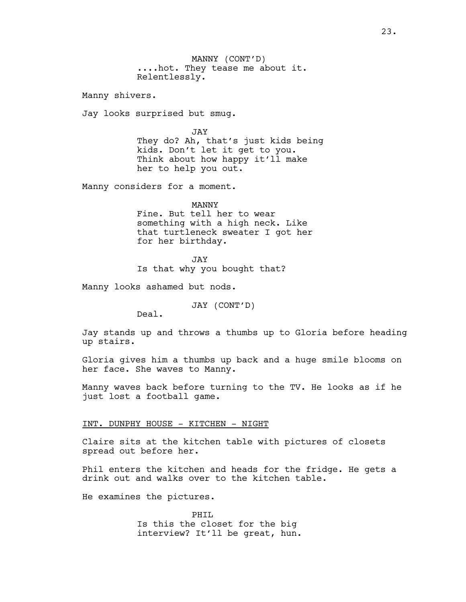MANNY (CONT'D) ....hot. They tease me about it. Relentlessly.

Manny shivers.

Jay looks surprised but smug.

JAY They do? Ah, that's just kids being kids. Don't let it get to you. Think about how happy it'll make her to help you out.

Manny considers for a moment.

MANNY Fine. But tell her to wear something with a high neck. Like that turtleneck sweater I got her for her birthday.

JAY Is that why you bought that?

Manny looks ashamed but nods.

JAY (CONT'D)

Deal.

Jay stands up and throws a thumbs up to Gloria before heading up stairs.

Gloria gives him a thumbs up back and a huge smile blooms on her face. She waves to Manny.

Manny waves back before turning to the TV. He looks as if he just lost a football game.

# INT. DUNPHY HOUSE - KITCHEN - NIGHT

Claire sits at the kitchen table with pictures of closets spread out before her.

Phil enters the kitchen and heads for the fridge. He gets a drink out and walks over to the kitchen table.

He examines the pictures.

PHIL Is this the closet for the big interview? It'll be great, hun.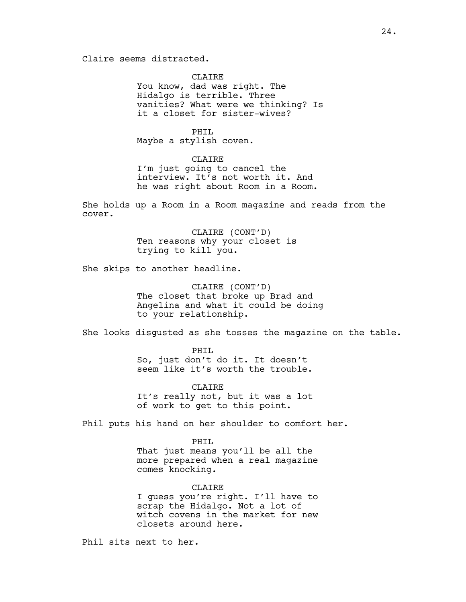Claire seems distracted.

**CLAIRE** You know, dad was right. The Hidalgo is terrible. Three vanities? What were we thinking? Is it a closet for sister-wives?

PHIL Maybe a stylish coven.

# CLAIRE

I'm just going to cancel the interview. It's not worth it. And he was right about Room in a Room.

She holds up a Room in a Room magazine and reads from the cover.

> CLAIRE (CONT'D) Ten reasons why your closet is trying to kill you.

She skips to another headline.

CLAIRE (CONT'D) The closet that broke up Brad and Angelina and what it could be doing to your relationship.

She looks disgusted as she tosses the magazine on the table.

PHIL So, just don't do it. It doesn't seem like it's worth the trouble.

CLAIRE It's really not, but it was a lot of work to get to this point.

Phil puts his hand on her shoulder to comfort her.

PHIL That just means you'll be all the more prepared when a real magazine comes knocking.

CLAIRE I guess you're right. I'll have to scrap the Hidalgo. Not a lot of witch covens in the market for new closets around here.

Phil sits next to her.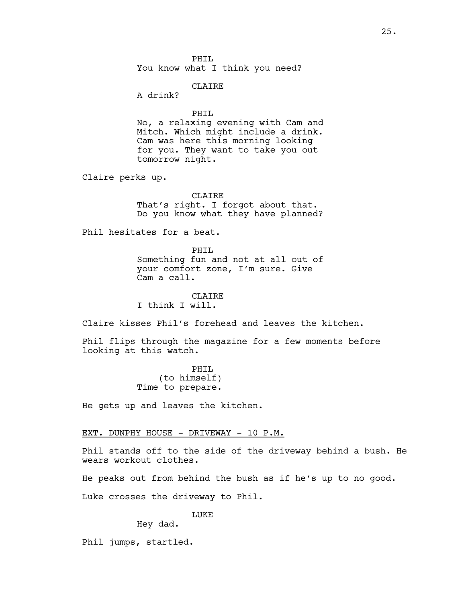PHTT. You know what I think you need?

## CLAIRE

A drink?

#### PHIL

No, a relaxing evening with Cam and Mitch. Which might include a drink. Cam was here this morning looking for you. They want to take you out tomorrow night.

Claire perks up.

**CLAIRE** That's right. I forgot about that. Do you know what they have planned?

Phil hesitates for a beat.

PHIL Something fun and not at all out of your comfort zone, I'm sure. Give Cam a call.

CLAIRE I think I will.

Claire kisses Phil's forehead and leaves the kitchen.

Phil flips through the magazine for a few moments before looking at this watch.

> PHIL (to himself) Time to prepare.

He gets up and leaves the kitchen.

## EXT. DUNPHY HOUSE - DRIVEWAY - 10 P.M.

Phil stands off to the side of the driveway behind a bush. He wears workout clothes.

He peaks out from behind the bush as if he's up to no good.

Luke crosses the driveway to Phil.

LUKE

Hey dad.

Phil jumps, startled.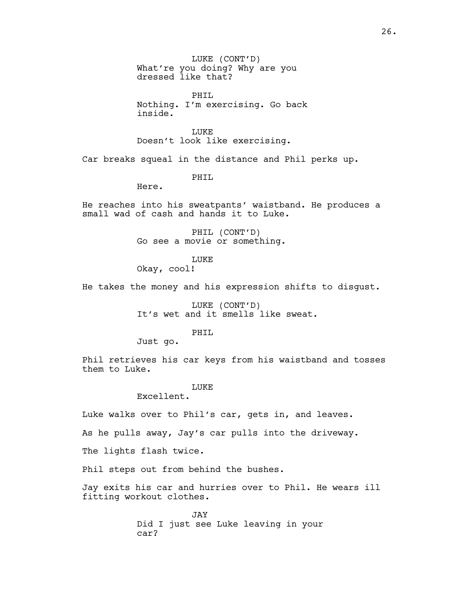LUKE (CONT'D) What're you doing? Why are you dressed like that?

PHIL Nothing. I'm exercising. Go back inside.

LUKE Doesn't look like exercising.

Car breaks squeal in the distance and Phil perks up.

PHTT.

Here.

He reaches into his sweatpants' waistband. He produces a small wad of cash and hands it to Luke.

> PHIL (CONT'D) Go see a movie or something.

> > **LUKE**

Okay, cool!

He takes the money and his expression shifts to disgust.

LUKE (CONT'D) It's wet and it smells like sweat.

PHIL

Just go.

Phil retrieves his car keys from his waistband and tosses them to Luke.

#### LUKE

Excellent.

Luke walks over to Phil's car, gets in, and leaves.

As he pulls away, Jay's car pulls into the driveway.

The lights flash twice.

Phil steps out from behind the bushes.

Jay exits his car and hurries over to Phil. He wears ill fitting workout clothes.

> JAY Did I just see Luke leaving in your car?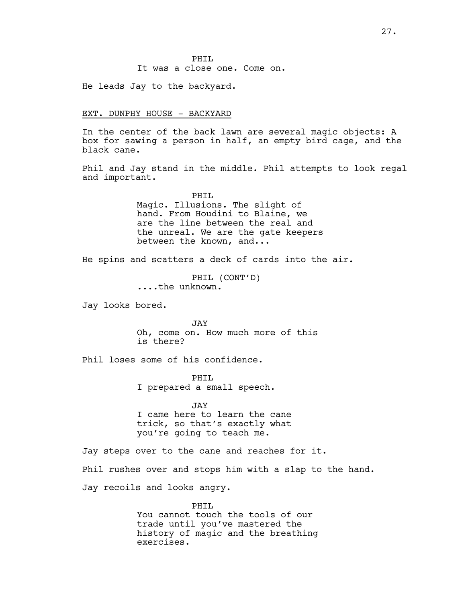PHTT. It was a close one. Come on.

He leads Jay to the backyard.

## EXT. DUNPHY HOUSE - BACKYARD

In the center of the back lawn are several magic objects: A box for sawing a person in half, an empty bird cage, and the black cane.

Phil and Jay stand in the middle. Phil attempts to look regal and important.

> PHIL Magic. Illusions. The slight of hand. From Houdini to Blaine, we are the line between the real and the unreal. We are the gate keepers between the known, and...

He spins and scatters a deck of cards into the air.

PHIL (CONT'D) ....the unknown.

Jay looks bored.

JAY Oh, come on. How much more of this is there?

Phil loses some of his confidence.

PHTT. I prepared a small speech.

JAY I came here to learn the cane trick, so that's exactly what you're going to teach me.

Jay steps over to the cane and reaches for it. Phil rushes over and stops him with a slap to the hand. Jay recoils and looks angry.

> PHIL You cannot touch the tools of our trade until you've mastered the history of magic and the breathing exercises.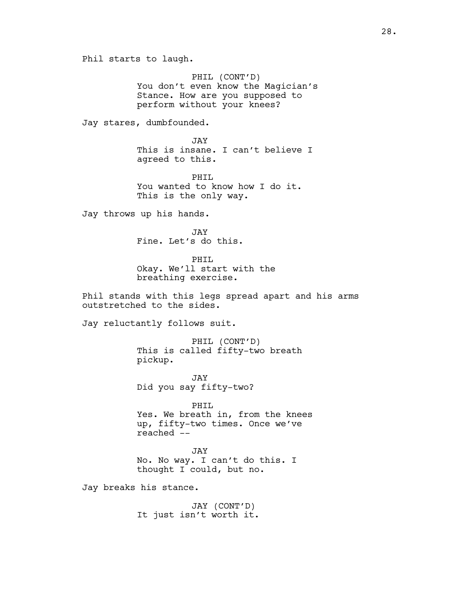Phil starts to laugh.

PHIL (CONT'D) You don't even know the Magician's Stance. How are you supposed to perform without your knees?

Jay stares, dumbfounded.

JAY This is insane. I can't believe I agreed to this.

PHTT. You wanted to know how I do it. This is the only way.

Jay throws up his hands.

JAY Fine. Let's do this.

PHIL Okay. We'll start with the breathing exercise.

Phil stands with this legs spread apart and his arms outstretched to the sides.

Jay reluctantly follows suit.

PHIL (CONT'D) This is called fifty-two breath pickup.

JAY Did you say fifty-two?

PHIL Yes. We breath in, from the knees up, fifty-two times. Once we've reached --

JAY No. No way. I can't do this. I thought I could, but no.

Jay breaks his stance.

JAY (CONT'D) It just isn't worth it.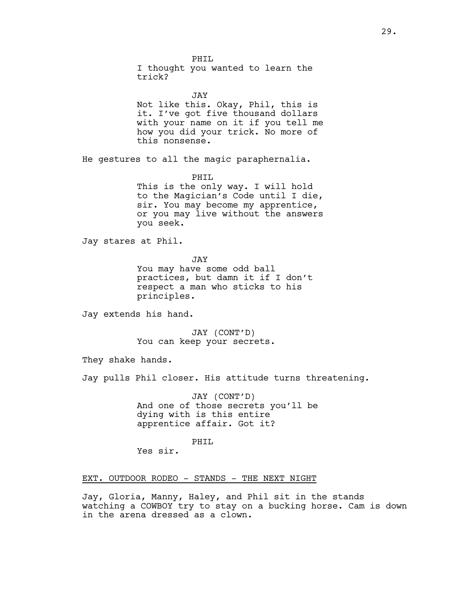PHTT. I thought you wanted to learn the trick?

JAY Not like this. Okay, Phil, this is it. I've got five thousand dollars with your name on it if you tell me how you did your trick. No more of this nonsense.

He gestures to all the magic paraphernalia.

PHIL This is the only way. I will hold to the Magician's Code until I die, sir. You may become my apprentice, or you may live without the answers you seek.

Jay stares at Phil.

JAY

You may have some odd ball practices, but damn it if I don't respect a man who sticks to his principles.

Jay extends his hand.

JAY (CONT'D) You can keep your secrets.

They shake hands.

Jay pulls Phil closer. His attitude turns threatening.

JAY (CONT'D) And one of those secrets you'll be dying with is this entire apprentice affair. Got it?

PHTT.

Yes sir.

# EXT. OUTDOOR RODEO - STANDS - THE NEXT NIGHT

Jay, Gloria, Manny, Haley, and Phil sit in the stands watching a COWBOY try to stay on a bucking horse. Cam is down in the arena dressed as a clown.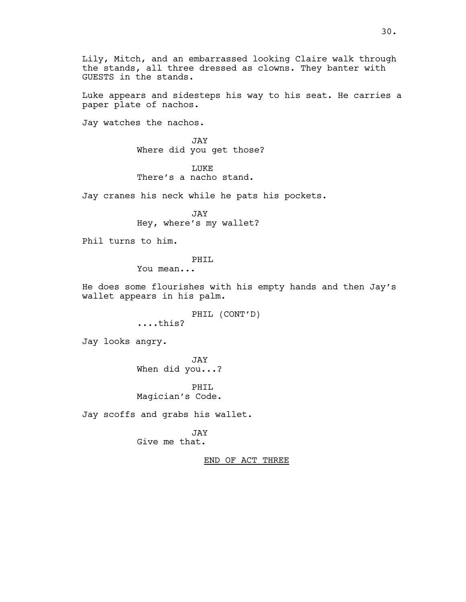Lily, Mitch, and an embarrassed looking Claire walk through the stands, all three dressed as clowns. They banter with GUESTS in the stands.

Luke appears and sidesteps his way to his seat. He carries a paper plate of nachos.

Jay watches the nachos.

JAY Where did you get those?

LUKE There's a nacho stand.

Jay cranes his neck while he pats his pockets.

JAY Hey, where's my wallet?

Phil turns to him.

PHTT.

You mean...

He does some flourishes with his empty hands and then Jay's wallet appears in his palm.

PHIL (CONT'D)

....this?

Jay looks angry.

JAY When did you...?

PHIL Magician's Code.

Jay scoffs and grabs his wallet.

JAY Give me that.

END OF ACT THREE